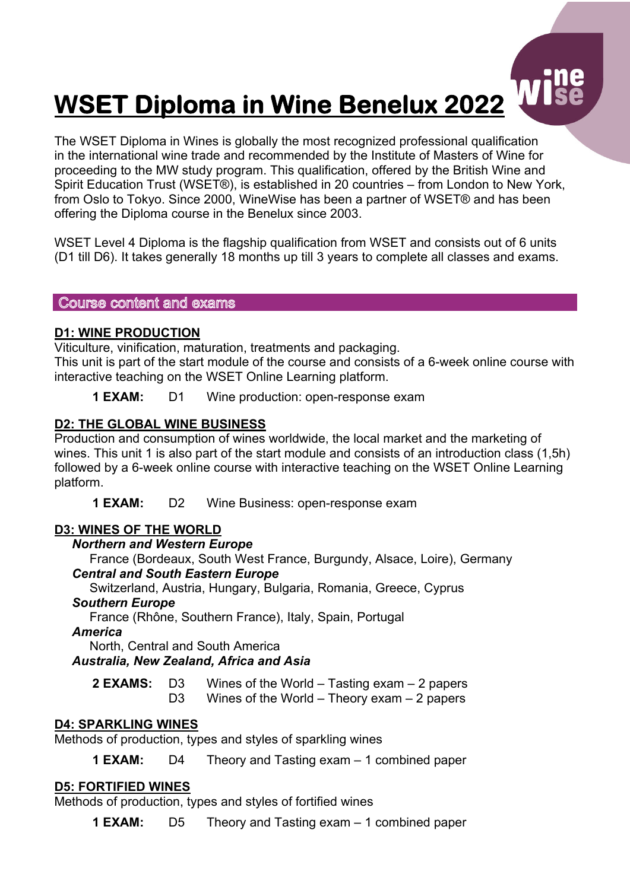# **WSET Diploma in Wine Benelux 2022**

The WSET Diploma in Wines is globally the most recognized professional qualification in the international wine trade and recommended by the Institute of Masters of Wine for proceeding to the MW study program. This qualification, offered by the British Wine and Spirit Education Trust (WSET®), is established in 20 countries – from London to New York, from Oslo to Tokyo. Since 2000, WineWise has been a partner of WSET® and has been offering the Diploma course in the Benelux since 2003.

WSET Level 4 Diploma is the flagship qualification from WSET and consists out of 6 units (D1 till D6). It takes generally 18 months up till 3 years to complete all classes and exams.

#### Course content and exams

## **D1: WINE PRODUCTION**

Viticulture, vinification, maturation, treatments and packaging. This unit is part of the start module of the course and consists of a 6-week online course with interactive teaching on the WSET Online Learning platform.

**1 EXAM:** D1 Wine production: open-response exam

## **D2: THE GLOBAL WINE BUSINESS**

Production and consumption of wines worldwide, the local market and the marketing of wines. This unit 1 is also part of the start module and consists of an introduction class (1,5h) followed by a 6-week online course with interactive teaching on the WSET Online Learning platform.

**1 EXAM:** D2 Wine Business: open-response exam

# **D3: WINES OF THE WORLD**

#### *Northern and Western Europe*

 France (Bordeaux, South West France, Burgundy, Alsace, Loire), Germany  *Central and South Eastern Europe*

 Switzerland, Austria, Hungary, Bulgaria, Romania, Greece, Cyprus  *Southern Europe*

France (Rhône, Southern France), Italy, Spain, Portugal

 *America*

North, Central and South America

#### *Australia, New Zealand, Africa and Asia*

**2 EXAMS:** D3 Wines of the World – Tasting exam – 2 papers D3 Wines of the World – Theory exam – 2 papers

#### **D4: SPARKLING WINES**

Methods of production, types and styles of sparkling wines

**1 EXAM:** D4 Theory and Tasting exam – 1 combined paper

# **D5: FORTIFIED WINES**

Methods of production, types and styles of fortified wines

**1 EXAM:** D5 Theory and Tasting exam – 1 combined paper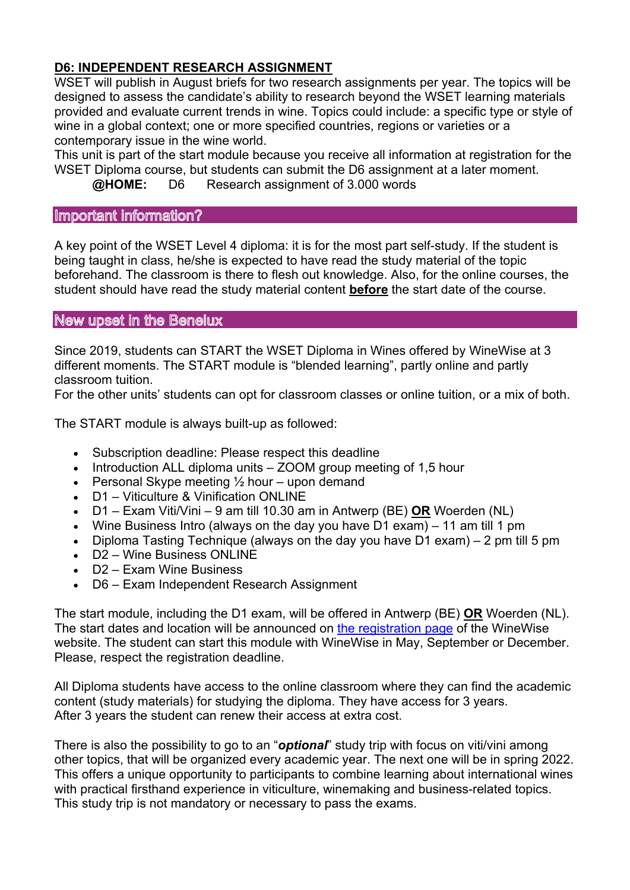# **D6: INDEPENDENT RESEARCH ASSIGNMENT**

WSET will publish in August briefs for two research assignments per year. The topics will be designed to assess the candidate's ability to research beyond the WSET learning materials provided and evaluate current trends in wine. Topics could include: a specific type or style of wine in a global context; one or more specified countries, regions or varieties or a contemporary issue in the wine world.

This unit is part of the start module because you receive all information at registration for the WSET Diploma course, but students can submit the D6 assignment at a later moment. **@HOME:** D6 Research assignment of 3.000 words

# Important information?

A key point of the WSET Level 4 diploma: it is for the most part self-study. If the student is being taught in class, he/she is expected to have read the study material of the topic beforehand. The classroom is there to flesh out knowledge. Also, for the online courses, the student should have read the study material content **before** the start date of the course.

#### New upset in the Benelux

Since 2019, students can START the WSET Diploma in Wines offered by WineWise at 3 different moments. The START module is "blended learning", partly online and partly classroom tuition.

For the other units' students can opt for classroom classes or online tuition, or a mix of both.

The START module is always built-up as followed:

- Subscription deadline: Please respect this deadline
- Introduction ALL diploma units ZOOM group meeting of 1,5 hour
- Personal Skype meeting  $\frac{1}{2}$  hour upon demand
- D1 Viticulture & Vinification ONLINE
- D1 Exam Viti/Vini 9 am till 10.30 am in Antwerp (BE) **OR** Woerden (NL)
- Wine Business Intro (always on the day you have D1 exam) 11 am till 1 pm
- Diploma Tasting Technique (always on the day you have D1 exam) 2 pm till 5 pm
- D2 Wine Business ONLINE
- D2 Exam Wine Business
- D6 Exam Independent Research Assignment

The start module, including the D1 exam, will be offered in Antwerp (BE) **OR** Woerden (NL). The start dates and location will be announced on the registration page of the WineWise website. The student can start this module with WineWise in May, September or December. Please, respect the registration deadline.

All Diploma students have access to the online classroom where they can find the academic content (study materials) for studying the diploma. They have access for 3 years. After 3 years the student can renew their access at extra cost.

There is also the possibility to go to an "*optional*" study trip with focus on viti/vini among other topics, that will be organized every academic year. The next one will be in spring 2022. This offers a unique opportunity to participants to combine learning about international wines with practical firsthand experience in viticulture, winemaking and business-related topics. This study trip is not mandatory or necessary to pass the exams.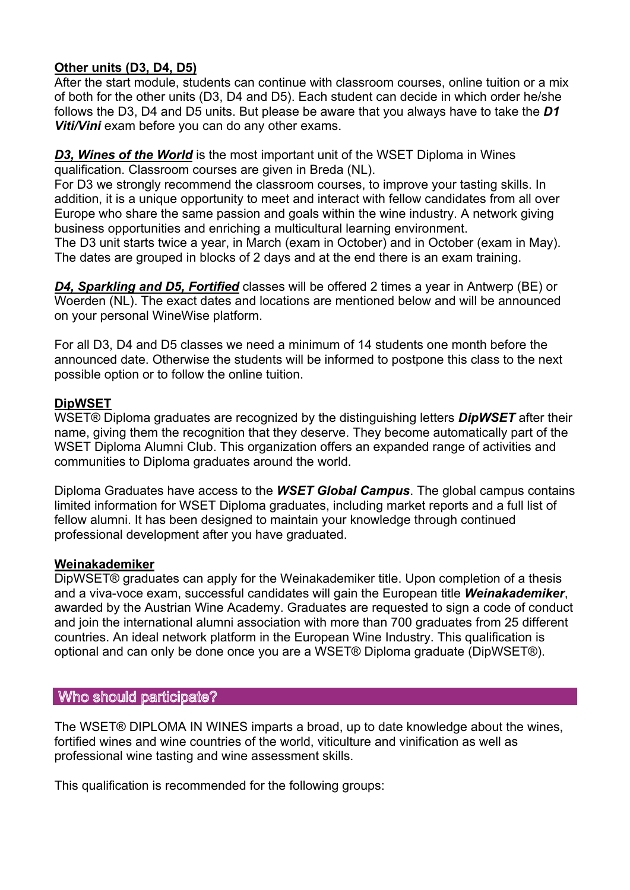## **Other units (D3, D4, D5)**

After the start module, students can continue with classroom courses, online tuition or a mix of both for the other units (D3, D4 and D5). Each student can decide in which order he/she follows the D3, D4 and D5 units. But please be aware that you always have to take the *D1 Viti/Vini* exam before you can do any other exams.

## *D3, Wines of the World* is the most important unit of the WSET Diploma in Wines qualification. Classroom courses are given in Breda (NL).

For D3 we strongly recommend the classroom courses, to improve your tasting skills. In addition, it is a unique opportunity to meet and interact with fellow candidates from all over Europe who share the same passion and goals within the wine industry. A network giving business opportunities and enriching a multicultural learning environment.

The D3 unit starts twice a year, in March (exam in October) and in October (exam in May). The dates are grouped in blocks of 2 days and at the end there is an exam training.

*D4, Sparkling and D5, Fortified* classes will be offered 2 times a year in Antwerp (BE) or Woerden (NL). The exact dates and locations are mentioned below and will be announced on your personal WineWise platform.

For all D3, D4 and D5 classes we need a minimum of 14 students one month before the announced date. Otherwise the students will be informed to postpone this class to the next possible option or to follow the online tuition.

## **DipWSET**

WSET® Diploma graduates are recognized by the distinguishing letters *DipWSET* after their name, giving them the recognition that they deserve. They become automatically part of the WSET Diploma Alumni Club. This organization offers an expanded range of activities and communities to Diploma graduates around the world.

Diploma Graduates have access to the *WSET Global Campus*. The global campus contains limited information for WSET Diploma graduates, including market reports and a full list of fellow alumni. It has been designed to maintain your knowledge through continued professional development after you have graduated.

#### **Weinakademiker**

DipWSET® graduates can apply for the Weinakademiker title. Upon completion of a thesis and a viva-voce exam, successful candidates will gain the European title *Weinakademiker*, awarded by the Austrian Wine Academy. Graduates are requested to sign a code of conduct and join the international alumni association with more than 700 graduates from 25 different countries. An ideal network platform in the European Wine Industry. This qualification is optional and can only be done once you are a WSET® Diploma graduate (DipWSET®).

# Who should participate?

The WSET® DIPLOMA IN WINES imparts a broad, up to date knowledge about the wines, fortified wines and wine countries of the world, viticulture and vinification as well as professional wine tasting and wine assessment skills.

This qualification is recommended for the following groups: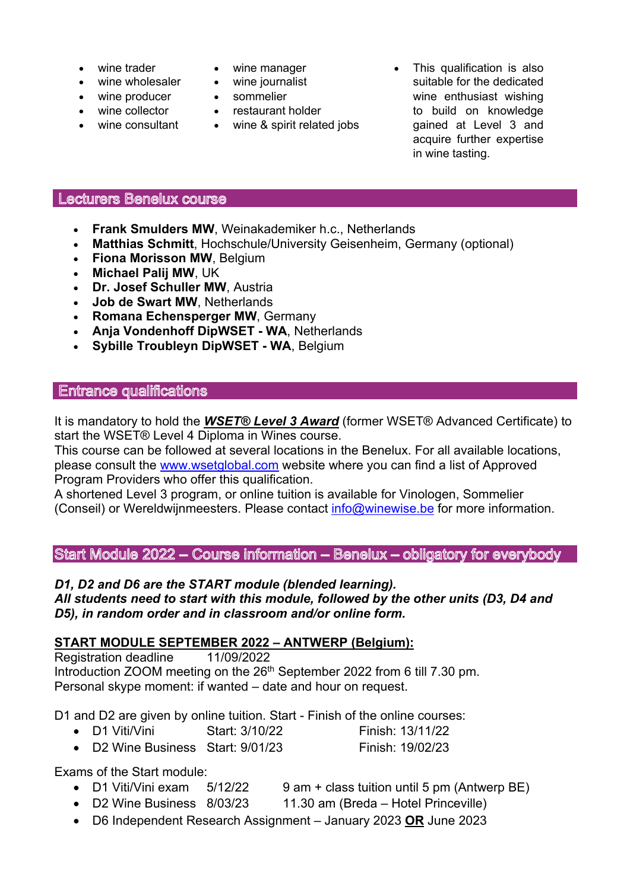- wine trader
- wine wholesaler
- wine producer
- wine collector
- wine consultant
- wine manager
- wine journalist
- sommelier
- restaurant holder
- wine & spirit related jobs
- This qualification is also suitable for the dedicated wine enthusiast wishing to build on knowledge gained at Level 3 and acquire further expertise in wine tasting.

#### Lecturers Benelux course

- **Frank Smulders MW, Weinakademiker h.c., Netherlands**
- **Matthias Schmitt**, Hochschule/University Geisenheim, Germany (optional)
- **Fiona Morisson MW**, Belgium
- **Michael Palij MW**, UK
- **Dr. Josef Schuller MW**, Austria
- **Job de Swart MW**, Netherlands
- **Romana Echensperger MW**, Germany
- **Anja Vondenhoff DipWSET - WA**, Netherlands
- **Sybille Troubleyn DipWSET - WA**, Belgium

## **Entrance qualifications**

It is mandatory to hold the *WSET® Level 3 Award* (former WSET® Advanced Certificate) to start the WSET® Level 4 Diploma in Wines course.

This course can be followed at several locations in the Benelux. For all available locations, please consult the www.wsetglobal.com website where you can find a list of Approved Program Providers who offer this qualification.

A shortened Level 3 program, or online tuition is available for Vinologen, Sommelier (Conseil) or Wereldwijnmeesters. Please contact info@winewise.be for more information.

Start Module 2022 - Course information - Benelux - obligatory for everybody

#### *D1, D2 and D6 are the START module (blended learning).*

*All students need to start with this module, followed by the other units (D3, D4 and D5), in random order and in classroom and/or online form.*

# **START MODULE SEPTEMBER 2022 – ANTWERP (Belgium):**

Registration deadline 11/09/2022 Introduction ZOOM meeting on the 26<sup>th</sup> September 2022 from 6 till 7.30 pm. Personal skype moment: if wanted – date and hour on request.

D1 and D2 are given by online tuition. Start - Finish of the online courses:

- D1 Viti/Vini Start: 3/10/22 Finish: 13/11/22
- D2 Wine Business Start: 9/01/23 Finish: 19/02/23

Exams of the Start module:

- D1 Viti/Vini exam 5/12/22 9 am + class tuition until 5 pm (Antwerp BE)
- D2 Wine Business 8/03/23 11.30 am (Breda Hotel Princeville)
- D6 Independent Research Assignment January 2023 **OR** June 2023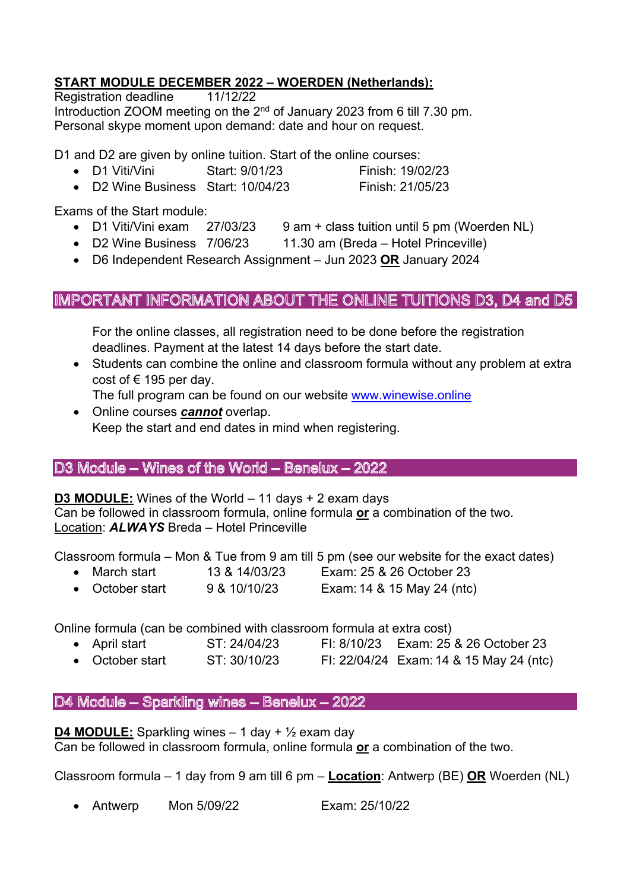# **START MODULE DECEMBER 2022 – WOERDEN (Netherlands):**

Registration deadline 11/12/22 Introduction ZOOM meeting on the  $2<sup>nd</sup>$  of January 2023 from 6 till 7.30 pm. Personal skype moment upon demand: date and hour on request.

D1 and D2 are given by online tuition. Start of the online courses:

- D1 Viti/Vini Start: 9/01/23 Finish: 19/02/23
- D2 Wine Business Start: 10/04/23 Finish: 21/05/23

Exams of the Start module:

- D1 Viti/Vini exam 27/03/23 9 am + class tuition until 5 pm (Woerden NL)
- D2 Wine Business 7/06/23 11.30 am (Breda Hotel Princeville)
- D6 Independent Research Assignment Jun 2023 **OR** January 2024

# IMPORTANT INFORMATION ABOUT THE ONLINE TUITIONS D3, D4 and D5

For the online classes, all registration need to be done before the registration deadlines. Payment at the latest 14 days before the start date.

- Students can combine the online and classroom formula without any problem at extra cost of  $\epsilon$  195 per day.
	- The full program can be found on our website www.winewise.online
- Online courses *cannot* overlap. Keep the start and end dates in mind when registering.

# D3 Module - Wines of the World - Benelux - 2022

**D3 MODULE:** Wines of the World – 11 days + 2 exam days

Can be followed in classroom formula, online formula **or** a combination of the two. Location: *ALWAYS* Breda – Hotel Princeville

Classroom formula – Mon & Tue from 9 am till 5 pm (see our website for the exact dates)

- March start 13 & 14/03/23 Exam: 25 & 26 October 23
- October start 9 & 10/10/23 Exam: 14 & 15 May 24 (ntc)

Online formula (can be combined with classroom formula at extra cost)

- April start ST: 24/04/23 FI: 8/10/23 Exam: 25 & 26 October 23
- October start ST: 30/10/23 FI: 22/04/24 Exam: 14 & 15 May 24 (ntc)

D4 Module - Sparkling wines - Benelux - 2022

**D4 MODULE:** Sparkling wines  $-1$  day  $+ \frac{1}{2}$  exam day

Can be followed in classroom formula, online formula **or** a combination of the two.

Classroom formula – 1 day from 9 am till 6 pm – **Location**: Antwerp (BE) **OR** Woerden (NL)

• Antwerp Mon 5/09/22 Exam: 25/10/22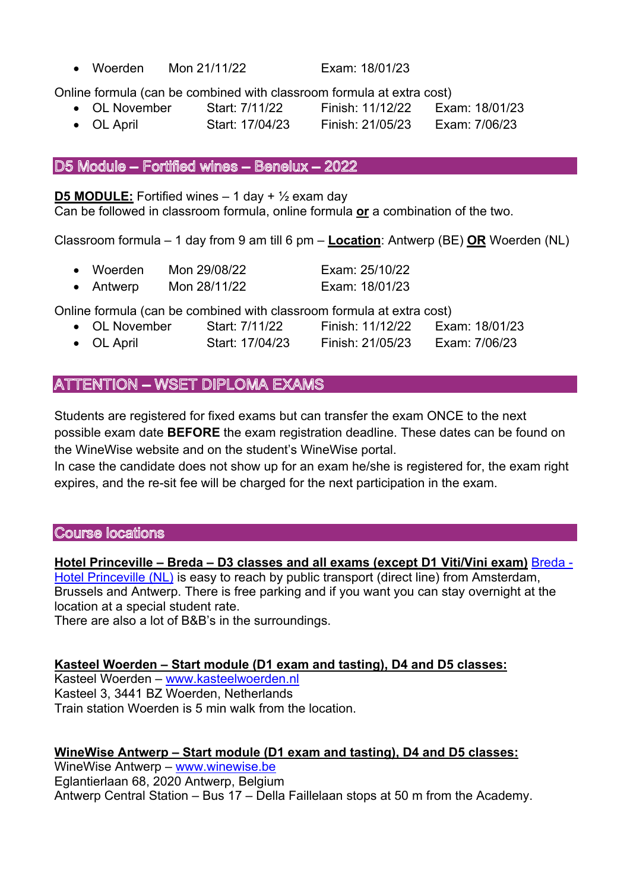• Woerden Mon 21/11/22 Exam: 18/01/23

Online formula (can be combined with classroom formula at extra cost)

- OL November Start: 7/11/22 Finish: 11/12/22 Exam: 18/01/23
- OL April Start: 17/04/23 Finish: 21/05/23 Exam: 7/06/23

## D5 Module - Fortified wines - Benelux - 2022

**D5 MODULE:** Fortified wines  $-1$  day  $+ \frac{1}{2}$  exam day

Can be followed in classroom formula, online formula **or** a combination of the two.

Classroom formula – 1 day from 9 am till 6 pm – **Location**: Antwerp (BE) **OR** Woerden (NL)

- Woerden Mon 29/08/22 Exam: 25/10/22
- Antwerp Mon 28/11/22 Exam: 18/01/23

Online formula (can be combined with classroom formula at extra cost)

- OL November Start: 7/11/22 Finish: 11/12/22 Exam: 18/01/23
	- OL April Start: 17/04/23 Finish: 21/05/23 Exam: 7/06/23

# ATTENTION - WSET DIPLOMA EXAMS

Students are registered for fixed exams but can transfer the exam ONCE to the next possible exam date **BEFORE** the exam registration deadline. These dates can be found on the WineWise website and on the student's WineWise portal.

In case the candidate does not show up for an exam he/she is registered for, the exam right expires, and the re-sit fee will be charged for the next participation in the exam.

Course locations

#### **Hotel Princeville – Breda – D3 classes and all exams (except D1 Viti/Vini exam)** Breda -

Hotel Princeville (NL) is easy to reach by public transport (direct line) from Amsterdam, Brussels and Antwerp. There is free parking and if you want you can stay overnight at the location at a special student rate.

There are also a lot of B&B's in the surroundings.

# **Kasteel Woerden – Start module (D1 exam and tasting), D4 and D5 classes:**

Kasteel Woerden – www.kasteelwoerden.nl Kasteel 3, 3441 BZ Woerden, Netherlands Train station Woerden is 5 min walk from the location.

#### **WineWise Antwerp – Start module (D1 exam and tasting), D4 and D5 classes:**

WineWise Antwerp – www.winewise.be Eglantierlaan 68, 2020 Antwerp, Belgium Antwerp Central Station – Bus 17 – Della Faillelaan stops at 50 m from the Academy.